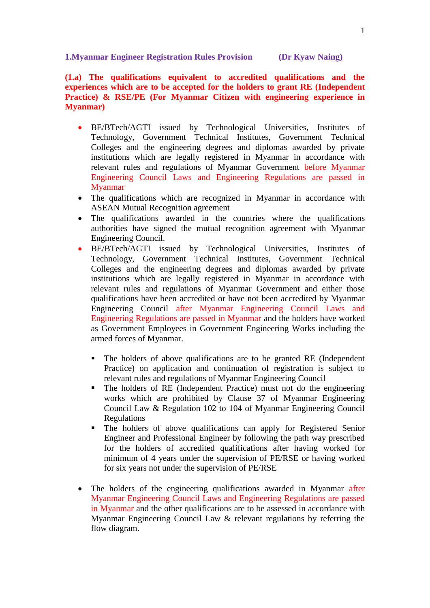**1.Myanmar Engineer Registration Rules Provision (Dr Kyaw Naing)**

**(1.a) The qualifications equivalent to accredited qualifications and the experiences which are to be accepted for the holders to grant RE (Independent Practice) & RSE/PE (For Myanmar Citizen with engineering experience in Myanmar)**

- BE/BTech/AGTI issued by Technological Universities, Institutes of Technology, Government Technical Institutes, Government Technical Colleges and the engineering degrees and diplomas awarded by private institutions which are legally registered in Myanmar in accordance with relevant rules and regulations of Myanmar Government before Myanmar Engineering Council Laws and Engineering Regulations are passed in Myanmar
- The qualifications which are recognized in Myanmar in accordance with ASEAN Mutual Recognition agreement
- The qualifications awarded in the countries where the qualifications authorities have signed the mutual recognition agreement with Myanmar Engineering Council.
- BE/BTech/AGTI issued by Technological Universities, Institutes of Technology, Government Technical Institutes, Government Technical Colleges and the engineering degrees and diplomas awarded by private institutions which are legally registered in Myanmar in accordance with relevant rules and regulations of Myanmar Government and either those qualifications have been accredited or have not been accredited by Myanmar Engineering Council after Myanmar Engineering Council Laws and Engineering Regulations are passed in Myanmar and the holders have worked as Government Employees in Government Engineering Works including the armed forces of Myanmar.
	- The holders of above qualifications are to be granted RE (Independent Practice) on application and continuation of registration is subject to relevant rules and regulations of Myanmar Engineering Council
	- The holders of RE (Independent Practice) must not do the engineering works which are prohibited by Clause 37 of Myanmar Engineering Council Law & Regulation 102 to 104 of Myanmar Engineering Council Regulations
	- The holders of above qualifications can apply for Registered Senior Engineer and Professional Engineer by following the path way prescribed for the holders of accredited qualifications after having worked for minimum of 4 years under the supervision of PE/RSE or having worked for six years not under the supervision of PE/RSE
- The holders of the engineering qualifications awarded in Myanmar after Myanmar Engineering Council Laws and Engineering Regulations are passed in Myanmar and the other qualifications are to be assessed in accordance with Myanmar Engineering Council Law & relevant regulations by referring the flow diagram.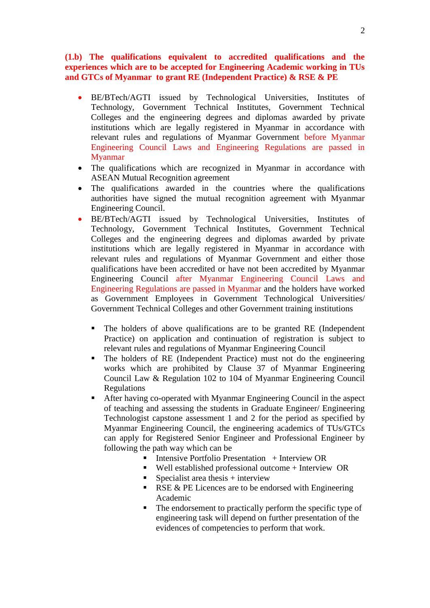**(1.b) The qualifications equivalent to accredited qualifications and the experiences which are to be accepted for Engineering Academic working in TUs and GTCs of Myanmar to grant RE (Independent Practice) & RSE & PE** 

- BE/BTech/AGTI issued by Technological Universities, Institutes of Technology, Government Technical Institutes, Government Technical Colleges and the engineering degrees and diplomas awarded by private institutions which are legally registered in Myanmar in accordance with relevant rules and regulations of Myanmar Government before Myanmar Engineering Council Laws and Engineering Regulations are passed in Myanmar
- The qualifications which are recognized in Myanmar in accordance with ASEAN Mutual Recognition agreement
- The qualifications awarded in the countries where the qualifications authorities have signed the mutual recognition agreement with Myanmar Engineering Council.
- BE/BTech/AGTI issued by Technological Universities, Institutes of Technology, Government Technical Institutes, Government Technical Colleges and the engineering degrees and diplomas awarded by private institutions which are legally registered in Myanmar in accordance with relevant rules and regulations of Myanmar Government and either those qualifications have been accredited or have not been accredited by Myanmar Engineering Council after Myanmar Engineering Council Laws and Engineering Regulations are passed in Myanmar and the holders have worked as Government Employees in Government Technological Universities/ Government Technical Colleges and other Government training institutions
	- The holders of above qualifications are to be granted RE (Independent Practice) on application and continuation of registration is subject to relevant rules and regulations of Myanmar Engineering Council
	- The holders of RE (Independent Practice) must not do the engineering works which are prohibited by Clause 37 of Myanmar Engineering Council Law & Regulation 102 to 104 of Myanmar Engineering Council Regulations
	- After having co-operated with Myanmar Engineering Council in the aspect of teaching and assessing the students in Graduate Engineer/ Engineering Technologist capstone assessment 1 and 2 for the period as specified by Myanmar Engineering Council, the engineering academics of TUs/GTCs can apply for Registered Senior Engineer and Professional Engineer by following the path way which can be
		- Intensive Portfolio Presentation + Interview OR
		- Well established professional outcome + Interview OR
		- Specialist area thesis  $+$  interview
		- RSE  $&$  PE Licences are to be endorsed with Engineering Academic
		- The endorsement to practically perform the specific type of engineering task will depend on further presentation of the evidences of competencies to perform that work.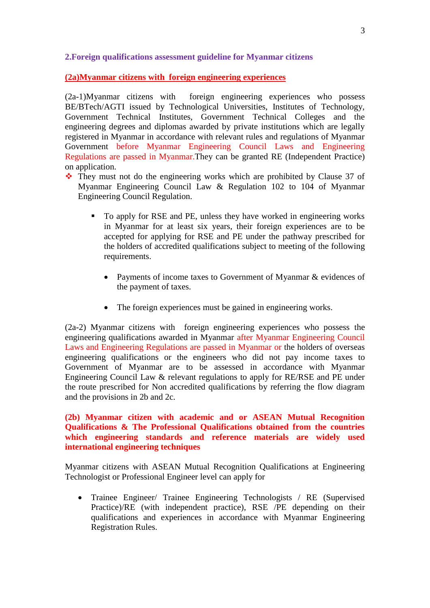## **2.Foreign qualifications assessment guideline for Myanmar citizens**

### **(2a)Myanmar citizens with foreign engineering experiences**

(2a-1)Myanmar citizens with foreign engineering experiences who possess BE/BTech/AGTI issued by Technological Universities, Institutes of Technology, Government Technical Institutes, Government Technical Colleges and the engineering degrees and diplomas awarded by private institutions which are legally registered in Myanmar in accordance with relevant rules and regulations of Myanmar Government before Myanmar Engineering Council Laws and Engineering Regulations are passed in Myanmar.They can be granted RE (Independent Practice) on application.

- They must not do the engineering works which are prohibited by Clause 37 of Myanmar Engineering Council Law & Regulation 102 to 104 of Myanmar Engineering Council Regulation.
	- To apply for RSE and PE, unless they have worked in engineering works in Myanmar for at least six years, their foreign experiences are to be accepted for applying for RSE and PE under the pathway prescribed for the holders of accredited qualifications subject to meeting of the following requirements.
		- Payments of income taxes to Government of Myanmar & evidences of the payment of taxes.
		- The foreign experiences must be gained in engineering works.

(2a-2) Myanmar citizens with foreign engineering experiences who possess the engineering qualifications awarded in Myanmar after Myanmar Engineering Council Laws and Engineering Regulations are passed in Myanmar or the holders of overseas engineering qualifications or the engineers who did not pay income taxes to Government of Myanmar are to be assessed in accordance with Myanmar Engineering Council Law & relevant regulations to apply for RE/RSE and PE under the route prescribed for Non accredited qualifications by referring the flow diagram and the provisions in 2b and 2c.

# **(2b) Myanmar citizen with academic and or ASEAN Mutual Recognition Qualifications & The Professional Qualifications obtained from the countries which engineering standards and reference materials are widely used international engineering techniques**

Myanmar citizens with ASEAN Mutual Recognition Qualifications at Engineering Technologist or Professional Engineer level can apply for

 Trainee Engineer/ Trainee Engineering Technologists / RE (Supervised Practice)/RE (with independent practice), RSE /PE depending on their qualifications and experiences in accordance with Myanmar Engineering Registration Rules.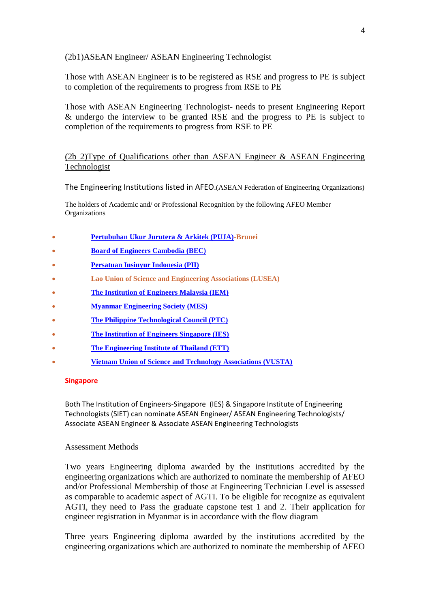# (2b1)ASEAN Engineer/ ASEAN Engineering Technologist

Those with ASEAN Engineer is to be registered as RSE and progress to PE is subject to completion of the requirements to progress from RSE to PE

Those with ASEAN Engineering Technologist- needs to present Engineering Report & undergo the interview to be granted RSE and the progress to PE is subject to completion of the requirements to progress from RSE to PE

# (2b 2)Type of Qualifications other than ASEAN Engineer & ASEAN Engineering Technologist

The Engineering Institutions listed in AFEO.(ASEAN Federation of Engineering Organizations)

The holders of Academic and/ or Professional Recognition by the following AFEO Member Organizations

- **[Pertubuhan Ukur Jurutera & Arkitek \(PUJA\)-](http://www.puja-brunei.org/)Brunei**
- **[Board of Engineers Cambodia \(BEC\)](http://www.bec.gov.kh/)**
- **[Persatuan Insinyur Indonesia \(PII\)](http://www.pii.or.id/)**
- **Lao Union of Science and Engineering Associations (LUSEA)**
- **[The Institution of Engineers Malaysia \(IEM\)](http://www.myiem.org.my/)**
- **[Myanmar Engineering Society \(MES\)](http://www.mes.org.mm/)**
- **[The Philippine Technological Council \(PTC\)](http://www.ptc.org.ph/)**
- **[The Institution of Engineers Singapore \(IES\)](http://www.ies.org.sg/)**
- **[The Engineering Institute of Thailand \(ETT\)](http://www.eit.or.th/)**
- **Vietnam Union [of Science and Technology Associations \(VUSTA\)](http://www.vusta.vn/)**

#### **Singapore**

Both The Institution of Engineers-Singapore (IES) & Singapore Institute of Engineering Technologists (SIET) can nominate ASEAN Engineer/ ASEAN Engineering Technologists/ Associate ASEAN Engineer & Associate ASEAN Engineering Technologists

#### Assessment Methods

Two years Engineering diploma awarded by the institutions accredited by the engineering organizations which are authorized to nominate the membership of AFEO and/or Professional Membership of those at Engineering Technician Level is assessed as comparable to academic aspect of AGTI. To be eligible for recognize as equivalent AGTI, they need to Pass the graduate capstone test 1 and 2. Their application for engineer registration in Myanmar is in accordance with the flow diagram

Three years Engineering diploma awarded by the institutions accredited by the engineering organizations which are authorized to nominate the membership of AFEO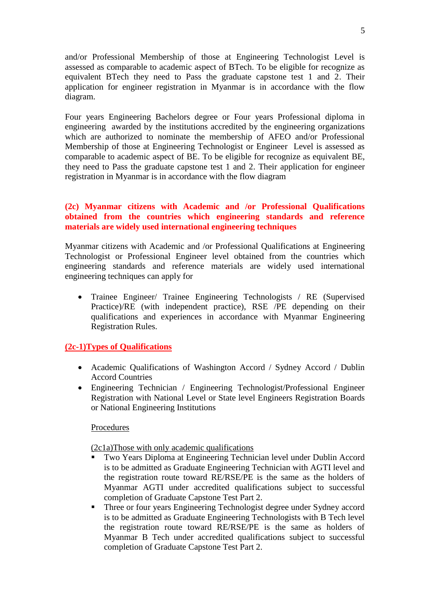and/or Professional Membership of those at Engineering Technologist Level is assessed as comparable to academic aspect of BTech. To be eligible for recognize as equivalent BTech they need to Pass the graduate capstone test 1 and 2. Their application for engineer registration in Myanmar is in accordance with the flow diagram.

Four years Engineering Bachelors degree or Four years Professional diploma in engineering awarded by the institutions accredited by the engineering organizations which are authorized to nominate the membership of AFEO and/or Professional Membership of those at Engineering Technologist or Engineer Level is assessed as comparable to academic aspect of BE. To be eligible for recognize as equivalent BE, they need to Pass the graduate capstone test 1 and 2. Their application for engineer registration in Myanmar is in accordance with the flow diagram

## **(2c) Myanmar citizens with Academic and /or Professional Qualifications obtained from the countries which engineering standards and reference materials are widely used international engineering techniques**

Myanmar citizens with Academic and /or Professional Qualifications at Engineering Technologist or Professional Engineer level obtained from the countries which engineering standards and reference materials are widely used international engineering techniques can apply for

• Trainee Engineer/ Trainee Engineering Technologists / RE (Supervised Practice)/RE (with independent practice), RSE /PE depending on their qualifications and experiences in accordance with Myanmar Engineering Registration Rules.

### **(2c-1)Types of Qualifications**

- Academic Qualifications of Washington Accord / Sydney Accord / Dublin Accord Countries
- Engineering Technician / Engineering Technologist/Professional Engineer Registration with National Level or State level Engineers Registration Boards or National Engineering Institutions

### **Procedures**

(2c1a)Those with only academic qualifications

- Two Years Diploma at Engineering Technician level under Dublin Accord is to be admitted as Graduate Engineering Technician with AGTI level and the registration route toward RE/RSE/PE is the same as the holders of Myanmar AGTI under accredited qualifications subject to successful completion of Graduate Capstone Test Part 2.
- Three or four years Engineering Technologist degree under Sydney accord is to be admitted as Graduate Engineering Technologists with B Tech level the registration route toward RE/RSE/PE is the same as holders of Myanmar B Tech under accredited qualifications subject to successful completion of Graduate Capstone Test Part 2.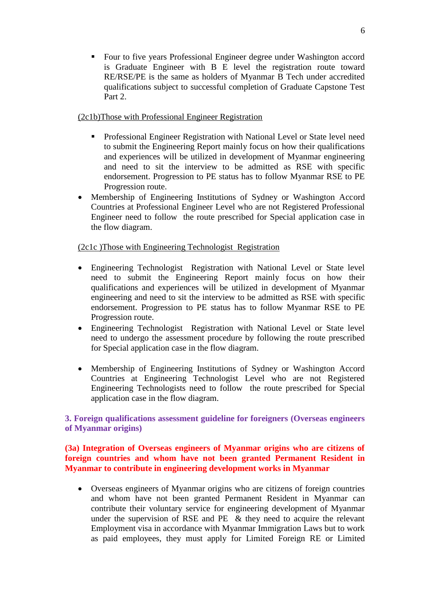Four to five years Professional Engineer degree under Washington accord is Graduate Engineer with B E level the registration route toward RE/RSE/PE is the same as holders of Myanmar B Tech under accredited qualifications subject to successful completion of Graduate Capstone Test Part 2.

# (2c1b)Those with Professional Engineer Registration

- **Professional Engineer Registration with National Level or State level need** to submit the Engineering Report mainly focus on how their qualifications and experiences will be utilized in development of Myanmar engineering and need to sit the interview to be admitted as RSE with specific endorsement. Progression to PE status has to follow Myanmar RSE to PE Progression route.
- Membership of Engineering Institutions of Sydney or Washington Accord Countries at Professional Engineer Level who are not Registered Professional Engineer need to follow the route prescribed for Special application case in the flow diagram.

# (2c1c )Those with Engineering Technologist Registration

- Engineering Technologist Registration with National Level or State level need to submit the Engineering Report mainly focus on how their qualifications and experiences will be utilized in development of Myanmar engineering and need to sit the interview to be admitted as RSE with specific endorsement. Progression to PE status has to follow Myanmar RSE to PE Progression route.
- Engineering Technologist Registration with National Level or State level need to undergo the assessment procedure by following the route prescribed for Special application case in the flow diagram.
- Membership of Engineering Institutions of Sydney or Washington Accord Countries at Engineering Technologist Level who are not Registered Engineering Technologists need to follow the route prescribed for Special application case in the flow diagram.

**3. Foreign qualifications assessment guideline for foreigners (Overseas engineers of Myanmar origins)**

# **(3a) Integration of Overseas engineers of Myanmar origins who are citizens of foreign countries and whom have not been granted Permanent Resident in Myanmar to contribute in engineering development works in Myanmar**

 Overseas engineers of Myanmar origins who are citizens of foreign countries and whom have not been granted Permanent Resident in Myanmar can contribute their voluntary service for engineering development of Myanmar under the supervision of RSE and PE & they need to acquire the relevant Employment visa in accordance with Myanmar Immigration Laws but to work as paid employees, they must apply for Limited Foreign RE or Limited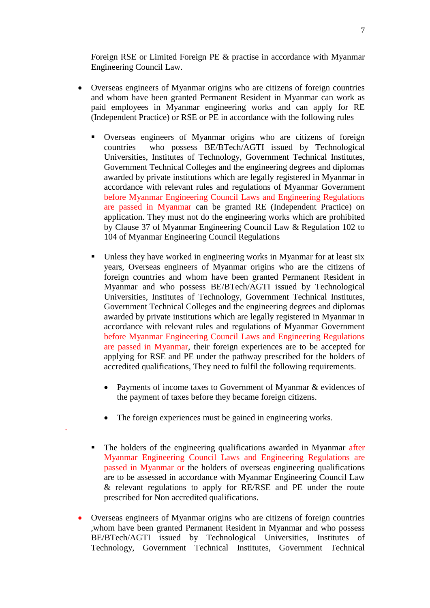Foreign RSE or Limited Foreign PE & practise in accordance with Myanmar Engineering Council Law.

- Overseas engineers of Myanmar origins who are citizens of foreign countries and whom have been granted Permanent Resident in Myanmar can work as paid employees in Myanmar engineering works and can apply for RE (Independent Practice) or RSE or PE in accordance with the following rules
	- Overseas engineers of Myanmar origins who are citizens of foreign countries who possess BE/BTech/AGTI issued by Technological Universities, Institutes of Technology, Government Technical Institutes, Government Technical Colleges and the engineering degrees and diplomas awarded by private institutions which are legally registered in Myanmar in accordance with relevant rules and regulations of Myanmar Government before Myanmar Engineering Council Laws and Engineering Regulations are passed in Myanmar can be granted RE (Independent Practice) on application. They must not do the engineering works which are prohibited by Clause 37 of Myanmar Engineering Council Law & Regulation 102 to 104 of Myanmar Engineering Council Regulations
	- Unless they have worked in engineering works in Myanmar for at least six years, Overseas engineers of Myanmar origins who are the citizens of foreign countries and whom have been granted Permanent Resident in Myanmar and who possess BE/BTech/AGTI issued by Technological Universities, Institutes of Technology, Government Technical Institutes, Government Technical Colleges and the engineering degrees and diplomas awarded by private institutions which are legally registered in Myanmar in accordance with relevant rules and regulations of Myanmar Government before Myanmar Engineering Council Laws and Engineering Regulations are passed in Myanmar, their foreign experiences are to be accepted for applying for RSE and PE under the pathway prescribed for the holders of accredited qualifications, They need to fulfil the following requirements.
		- Payments of income taxes to Government of Myanmar & evidences of the payment of taxes before they became foreign citizens.
		- The foreign experiences must be gained in engineering works.

.

- The holders of the engineering qualifications awarded in Myanmar after Myanmar Engineering Council Laws and Engineering Regulations are passed in Myanmar or the holders of overseas engineering qualifications are to be assessed in accordance with Myanmar Engineering Council Law & relevant regulations to apply for RE/RSE and PE under the route prescribed for Non accredited qualifications.
- Overseas engineers of Myanmar origins who are citizens of foreign countries ,whom have been granted Permanent Resident in Myanmar and who possess BE/BTech/AGTI issued by Technological Universities, Institutes of Technology, Government Technical Institutes, Government Technical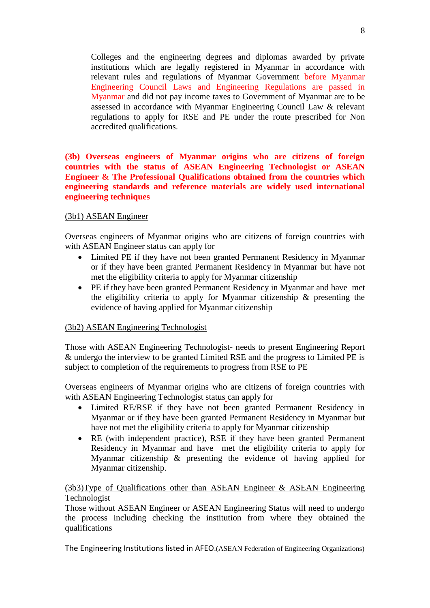Colleges and the engineering degrees and diplomas awarded by private institutions which are legally registered in Myanmar in accordance with relevant rules and regulations of Myanmar Government before Myanmar Engineering Council Laws and Engineering Regulations are passed in Myanmar and did not pay income taxes to Government of Myanmar are to be assessed in accordance with Myanmar Engineering Council Law & relevant regulations to apply for RSE and PE under the route prescribed for Non accredited qualifications.

**(3b) Overseas engineers of Myanmar origins who are citizens of foreign countries with the status of ASEAN Engineering Technologist or ASEAN Engineer & The Professional Qualifications obtained from the countries which engineering standards and reference materials are widely used international engineering techniques**

#### (3b1) ASEAN Engineer

Overseas engineers of Myanmar origins who are citizens of foreign countries with with ASEAN Engineer status can apply for

- Limited PE if they have not been granted Permanent Residency in Myanmar or if they have been granted Permanent Residency in Myanmar but have not met the eligibility criteria to apply for Myanmar citizenship
- PE if they have been granted Permanent Residency in Myanmar and have met the eligibility criteria to apply for Myanmar citizenship & presenting the evidence of having applied for Myanmar citizenship

#### (3b2) ASEAN Engineering Technologist

Those with ASEAN Engineering Technologist- needs to present Engineering Report & undergo the interview to be granted Limited RSE and the progress to Limited PE is subject to completion of the requirements to progress from RSE to PE

Overseas engineers of Myanmar origins who are citizens of foreign countries with with ASEAN Engineering Technologist status can apply for

- Limited RE/RSE if they have not been granted Permanent Residency in Myanmar or if they have been granted Permanent Residency in Myanmar but have not met the eligibility criteria to apply for Myanmar citizenship
- RE (with independent practice), RSE if they have been granted Permanent Residency in Myanmar and have met the eligibility criteria to apply for Myanmar citizenship & presenting the evidence of having applied for Myanmar citizenship.

### (3b3)Type of Qualifications other than ASEAN Engineer & ASEAN Engineering Technologist

Those without ASEAN Engineer or ASEAN Engineering Status will need to undergo the process including checking the institution from where they obtained the qualifications

The Engineering Institutions listed in AFEO.(ASEAN Federation of Engineering Organizations)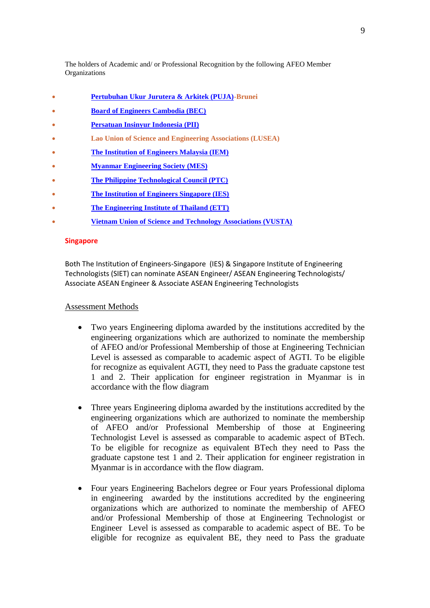The holders of Academic and/ or Professional Recognition by the following AFEO Member **Organizations** 

- **[Pertubuhan Ukur Jurutera & Arkitek \(PUJA\)-](http://www.puja-brunei.org/)Brunei**
- **[Board of Engineers Cambodia \(BEC\)](http://www.bec.gov.kh/)**
- **[Persatuan Insinyur Indonesia \(PII\)](http://www.pii.or.id/)**
- **Lao Union of Science and Engineering Associations (LUSEA)**
- **[The Institution of Engineers Malaysia \(IEM\)](http://www.myiem.org.my/)**
- **[Myanmar Engineering Society \(MES\)](http://www.mes.org.mm/)**
- **[The Philippine Technological Council \(PTC\)](http://www.ptc.org.ph/)**
- **[The Institution of Engineers Singapore \(IES\)](http://www.ies.org.sg/)**
- **[The Engineering Institute of Thailand \(ETT\)](http://www.eit.or.th/)**
- **[Vietnam Union of Science and Technology Associations \(VUSTA\)](http://www.vusta.vn/)**

#### **Singapore**

Both The Institution of Engineers-Singapore (IES) & Singapore Institute of Engineering Technologists (SIET) can nominate ASEAN Engineer/ ASEAN Engineering Technologists/ Associate ASEAN Engineer & Associate ASEAN Engineering Technologists

#### Assessment Methods

- Two years Engineering diploma awarded by the institutions accredited by the engineering organizations which are authorized to nominate the membership of AFEO and/or Professional Membership of those at Engineering Technician Level is assessed as comparable to academic aspect of AGTI. To be eligible for recognize as equivalent AGTI, they need to Pass the graduate capstone test 1 and 2. Their application for engineer registration in Myanmar is in accordance with the flow diagram
- Three years Engineering diploma awarded by the institutions accredited by the engineering organizations which are authorized to nominate the membership of AFEO and/or Professional Membership of those at Engineering Technologist Level is assessed as comparable to academic aspect of BTech. To be eligible for recognize as equivalent BTech they need to Pass the graduate capstone test 1 and 2. Their application for engineer registration in Myanmar is in accordance with the flow diagram.
- Four years Engineering Bachelors degree or Four years Professional diploma in engineering awarded by the institutions accredited by the engineering organizations which are authorized to nominate the membership of AFEO and/or Professional Membership of those at Engineering Technologist or Engineer Level is assessed as comparable to academic aspect of BE. To be eligible for recognize as equivalent BE, they need to Pass the graduate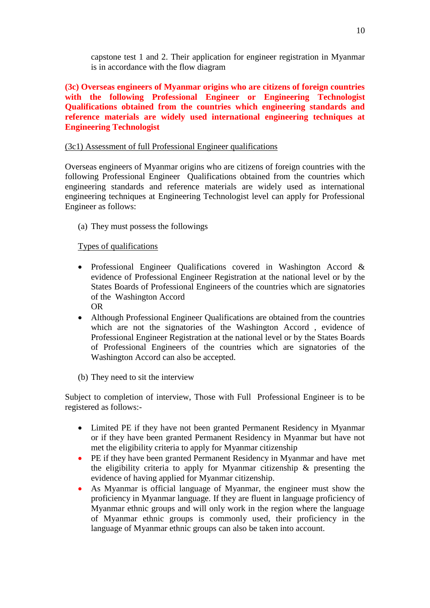capstone test 1 and 2. Their application for engineer registration in Myanmar is in accordance with the flow diagram

**(3c) Overseas engineers of Myanmar origins who are citizens of foreign countries with the following Professional Engineer or Engineering Technologist Qualifications obtained from the countries which engineering standards and reference materials are widely used international engineering techniques at Engineering Technologist** 

# (3c1) Assessment of full Professional Engineer qualifications

Overseas engineers of Myanmar origins who are citizens of foreign countries with the following Professional Engineer Qualifications obtained from the countries which engineering standards and reference materials are widely used as international engineering techniques at Engineering Technologist level can apply for Professional Engineer as follows:

(a) They must possess the followings

# Types of qualifications

- Professional Engineer Qualifications covered in Washington Accord & evidence of Professional Engineer Registration at the national level or by the States Boards of Professional Engineers of the countries which are signatories of the Washington Accord OR
- Although Professional Engineer Qualifications are obtained from the countries which are not the signatories of the Washington Accord , evidence of Professional Engineer Registration at the national level or by the States Boards of Professional Engineers of the countries which are signatories of the Washington Accord can also be accepted.
- (b) They need to sit the interview

Subject to completion of interview, Those with Full Professional Engineer is to be registered as follows:-

- Limited PE if they have not been granted Permanent Residency in Myanmar or if they have been granted Permanent Residency in Myanmar but have not met the eligibility criteria to apply for Myanmar citizenship
- PE if they have been granted Permanent Residency in Myanmar and have met the eligibility criteria to apply for Myanmar citizenship & presenting the evidence of having applied for Myanmar citizenship.
- As Myanmar is official language of Myanmar, the engineer must show the proficiency in Myanmar language. If they are fluent in language proficiency of Myanmar ethnic groups and will only work in the region where the language of Myanmar ethnic groups is commonly used, their proficiency in the language of Myanmar ethnic groups can also be taken into account.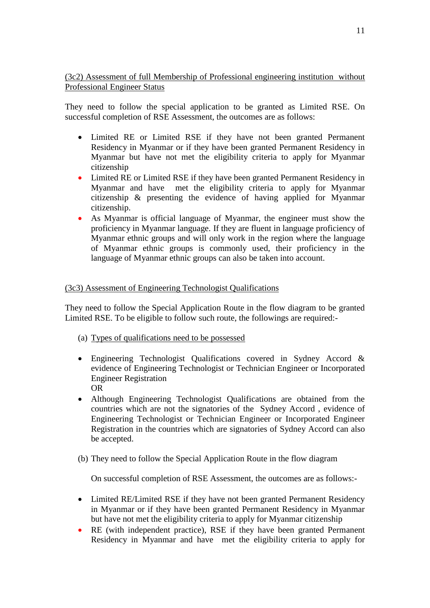# (3c2) Assessment of full Membership of Professional engineering institution without Professional Engineer Status

They need to follow the special application to be granted as Limited RSE. On successful completion of RSE Assessment, the outcomes are as follows:

- Limited RE or Limited RSE if they have not been granted Permanent Residency in Myanmar or if they have been granted Permanent Residency in Myanmar but have not met the eligibility criteria to apply for Myanmar citizenship
- Limited RE or Limited RSE if they have been granted Permanent Residency in Myanmar and have met the eligibility criteria to apply for Myanmar citizenship & presenting the evidence of having applied for Myanmar citizenship.
- As Myanmar is official language of Myanmar, the engineer must show the proficiency in Myanmar language. If they are fluent in language proficiency of Myanmar ethnic groups and will only work in the region where the language of Myanmar ethnic groups is commonly used, their proficiency in the language of Myanmar ethnic groups can also be taken into account.

# (3c3) Assessment of Engineering Technologist Qualifications

They need to follow the Special Application Route in the flow diagram to be granted Limited RSE. To be eligible to follow such route, the followings are required:-

- (a) Types of qualifications need to be possessed
- Engineering Technologist Qualifications covered in Sydney Accord & evidence of Engineering Technologist or Technician Engineer or Incorporated Engineer Registration OR
- Although Engineering Technologist Qualifications are obtained from the countries which are not the signatories of the Sydney Accord , evidence of Engineering Technologist or Technician Engineer or Incorporated Engineer Registration in the countries which are signatories of Sydney Accord can also be accepted.
- (b) They need to follow the Special Application Route in the flow diagram

On successful completion of RSE Assessment, the outcomes are as follows:-

- Limited RE/Limited RSE if they have not been granted Permanent Residency in Myanmar or if they have been granted Permanent Residency in Myanmar but have not met the eligibility criteria to apply for Myanmar citizenship
- RE (with independent practice), RSE if they have been granted Permanent Residency in Myanmar and have met the eligibility criteria to apply for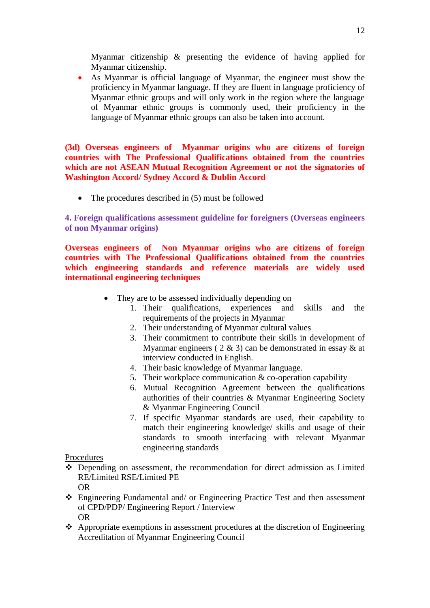Myanmar citizenship & presenting the evidence of having applied for Myanmar citizenship.

 As Myanmar is official language of Myanmar, the engineer must show the proficiency in Myanmar language. If they are fluent in language proficiency of Myanmar ethnic groups and will only work in the region where the language of Myanmar ethnic groups is commonly used, their proficiency in the language of Myanmar ethnic groups can also be taken into account.

**(3d) Overseas engineers of Myanmar origins who are citizens of foreign countries with The Professional Qualifications obtained from the countries which are not ASEAN Mutual Recognition Agreement or not the signatories of Washington Accord/ Sydney Accord & Dublin Accord**

• The procedures described in (5) must be followed

**4. Foreign qualifications assessment guideline for foreigners (Overseas engineers of non Myanmar origins)**

**Overseas engineers of Non Myanmar origins who are citizens of foreign countries with The Professional Qualifications obtained from the countries which engineering standards and reference materials are widely used international engineering techniques**

- They are to be assessed individually depending on
	- 1. Their qualifications, experiences and skills and the requirements of the projects in Myanmar
	- 2. Their understanding of Myanmar cultural values
	- 3. Their commitment to contribute their skills in development of Myanmar engineers (  $2 \& 3$ ) can be demonstrated in essay  $\&$  at interview conducted in English.
	- 4. Their basic knowledge of Myanmar language.
	- 5. Their workplace communication & co-operation capability
	- 6. Mutual Recognition Agreement between the qualifications authorities of their countries & Myanmar Engineering Society & Myanmar Engineering Council
	- 7. If specific Myanmar standards are used, their capability to match their engineering knowledge/ skills and usage of their standards to smooth interfacing with relevant Myanmar engineering standards

Procedures

- Depending on assessment, the recommendation for direct admission as Limited RE/Limited RSE/Limited PE OR
- Engineering Fundamental and/ or Engineering Practice Test and then assessment of CPD/PDP/ Engineering Report / Interview OR
- Appropriate exemptions in assessment procedures at the discretion of Engineering Accreditation of Myanmar Engineering Council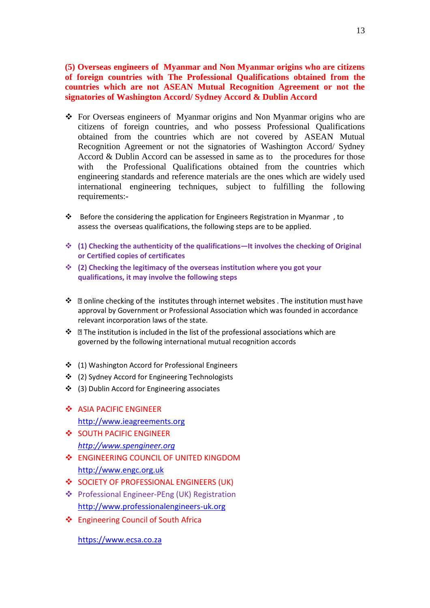**(5) Overseas engineers of Myanmar and Non Myanmar origins who are citizens of foreign countries with The Professional Qualifications obtained from the countries which are not ASEAN Mutual Recognition Agreement or not the signatories of Washington Accord/ Sydney Accord & Dublin Accord**

- For Overseas engineers of Myanmar origins and Non Myanmar origins who are citizens of foreign countries, and who possess Professional Qualifications obtained from the countries which are not covered by ASEAN Mutual Recognition Agreement or not the signatories of Washington Accord/ Sydney Accord & Dublin Accord can be assessed in same as to the procedures for those with the Professional Qualifications obtained from the countries which engineering standards and reference materials are the ones which are widely used international engineering techniques, subject to fulfilling the following requirements:-
- \* Before the considering the application for Engineers Registration in Myanmar, to assess the overseas qualifications, the following steps are to be applied.
- **(1) Checking the authenticity of the qualifications—It involves the checking of Original or Certified copies of certificates**
- **(2) Checking the legitimacy of the overseas institution where you got your qualifications, it may involve the following steps**
- ❖ **D** online checking of the institutes through internet websites . The institution must have approval by Government or Professional Association which was founded in accordance relevant incorporation laws of the state.
- $\cdot \cdot$  **I** The institution is included in the list of the professional associations which are governed by the following international mutual recognition accords
- ❖ (1) Washington Accord for Professional Engineers
- (2) Sydney Accord for Engineering Technologists
- (3) Dublin Accord for Engineering associates
- ❖ ASIA PACIFIC ENGINEER [http://www.ieagreements.org](http://www.ieagreements.org/)
- SOUTH PACIFIC ENGINEER *[http://www.spengineer.org](http://www.spengineer.org/)*
- **ENGINEERING COUNCIL OF UNITED KINGDOM** [http://www.engc.org.uk](http://www.engc.org.uk/)
- SOCIETY OF PROFESSIONAL ENGINEERS (UK)
- Professional Engineer-PEng (UK) Registration [http://www.professionalengineers-uk.org](http://www.professionalengineers-uk.org/)
- Engineering Council of South Africa

[https://www.ecsa.co.za](https://www.ecsa.co.za/)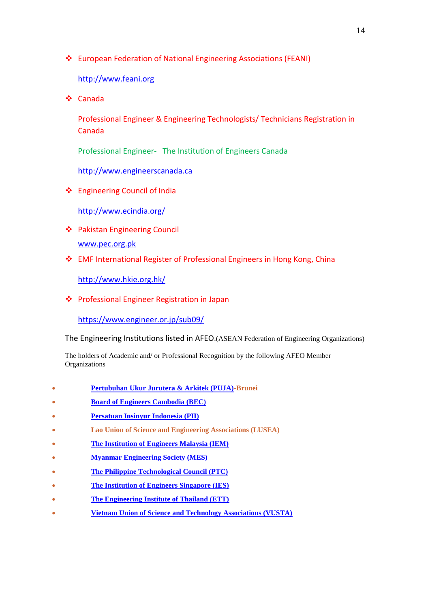European Federation of National Engineering Associations (FEANI)

# [http://www.feani.org](http://www.feani.org/)

Canada

Professional Engineer & Engineering Technologists/ Technicians Registration in Canada

Professional Engineer- The Institution of Engineers Canada

[http://www.engineerscanada.ca](http://www.engineerscanada.ca/)

Engineering Council of India

<http://www.ecindia.org/>

- Pakistan Engineering Council [www.pec.org.pk](http://www.pec.org.pk/)
- EMF International Register of Professional Engineers in Hong Kong, China

<http://www.hkie.org.hk/>

Professional Engineer Registration in Japan

<https://www.engineer.or.jp/sub09/>

The Engineering Institutions listed in AFEO.(ASEAN Federation of Engineering Organizations)

The holders of Academic and/ or Professional Recognition by the following AFEO Member **Organizations** 

- **[Pertubuhan Ukur Jurutera & Arkitek \(PUJA\)-](http://www.puja-brunei.org/)Brunei**
- **[Board of Engineers Cambodia \(BEC\)](http://www.bec.gov.kh/)**
- **[Persatuan Insinyur Indonesia \(PII\)](http://www.pii.or.id/)**
- **Lao Union of Science and Engineering Associations (LUSEA)**
- **[The Institution of Engineers Malaysia \(IEM\)](http://www.myiem.org.my/)**
- **[Myanmar Engineering Society \(MES\)](http://www.mes.org.mm/)**
- **[The Philippine Technological Council \(PTC\)](http://www.ptc.org.ph/)**
- **[The Institution of Engineers Singapore \(IES\)](http://www.ies.org.sg/)**
- **[The Engineering Institute of Thailand \(ETT\)](http://www.eit.or.th/)**
- **[Vietnam Union of Science and Technology Associations \(VUSTA\)](http://www.vusta.vn/)**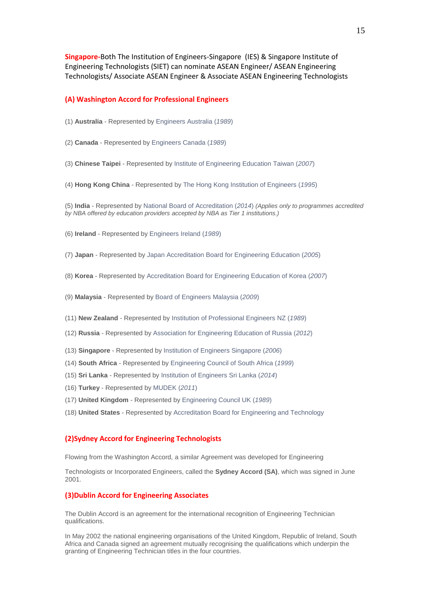**Singapore-**Both The Institution of Engineers-Singapore (IES) & Singapore Institute of Engineering Technologists (SIET) can nominate ASEAN Engineer/ ASEAN Engineering Technologists/ Associate ASEAN Engineer & Associate ASEAN Engineering Technologists

#### **(A) Washington Accord for Professional Engineers**

- (1) **Australia**  Represented by Engineers Australia (*1989*)
- (2) **Canada**  Represented by Engineers Canada (*1989*)
- (3) **Chinese Taipei**  Represented by Institute of Engineering Education Taiwan (*2007*)
- (4) **Hong Kong China**  Represented by The Hong Kong Institution of Engineers (*1995*)

(5) **India** - Represented by National Board of Accreditation (*2014*) *(Applies only to programmes accredited by NBA offered by education providers accepted by NBA as Tier 1 institutions.)* 

(6) **Ireland** - Represented by Engineers Ireland (*1989*)

(7) **Japan** - Represented by Japan Accreditation Board for Engineering Education (*2005*)

- (8) **Korea**  Represented by Accreditation Board for Engineering Education of Korea (*2007*)
- (9) **Malaysia**  Represented by Board of Engineers Malaysia (*2009*)
- (11) **New Zealand**  Represented by Institution of Professional Engineers NZ (*1989*)
- (12) **Russia**  Represented by Association for Engineering Education of Russia (*2012*)
- (13) **Singapore**  Represented by Institution of Engineers Singapore (*2006*)
- (14) **South Africa**  Represented by Engineering Council of South Africa (*1999*)
- (15) **Sri Lanka**  Represented by Institution of Engineers Sri Lanka (*2014*)
- (16) **Turkey**  Represented by MUDEK (*2011*)
- (17) **United Kingdom**  Represented by Engineering Council UK (*1989*)
- (18) **United States**  Represented by Accreditation Board for Engineering and Technology

#### **(2)Sydney Accord for Engineering Technologists**

Flowing from the Washington Accord, a similar Agreement was developed for Engineering

Technologists or Incorporated Engineers, called the **Sydney Accord (SA)**, which was signed in June 2001.

#### **(3)Dublin Accord for Engineering Associates**

The Dublin Accord is an agreement for the international recognition of Engineering Technician qualifications.

In May 2002 the national engineering organisations of the United Kingdom, Republic of Ireland, South Africa and Canada signed an agreement mutually recognising the qualifications which underpin the granting of Engineering Technician titles in the four countries.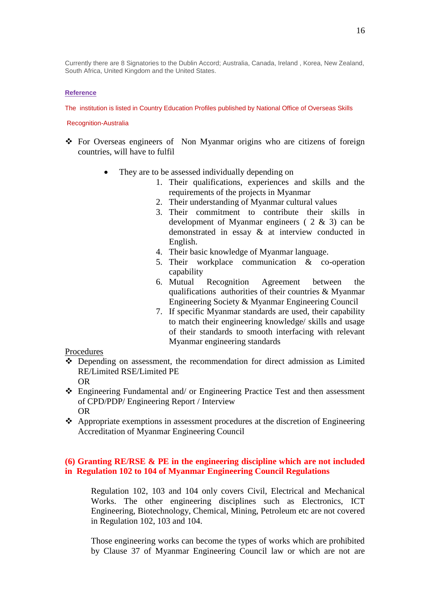Currently there are 8 Signatories to the Dublin Accord; Australia, Canada, Ireland , Korea, New Zealand, South Africa, United Kingdom and the United States.

#### **Reference**

The institution is listed in Country Education Profiles published by National Office of Overseas Skills

#### Recognition-Australia

- For Overseas engineers of Non Myanmar origins who are citizens of foreign countries, will have to fulfil
	- They are to be assessed individually depending on
		- 1. Their qualifications, experiences and skills and the requirements of the projects in Myanmar
		- 2. Their understanding of Myanmar cultural values
		- 3. Their commitment to contribute their skills in development of Myanmar engineers ( 2 & 3) can be demonstrated in essay & at interview conducted in English.
		- 4. Their basic knowledge of Myanmar language.
		- 5. Their workplace communication & co-operation capability
		- 6. Mutual Recognition Agreement between the qualifications authorities of their countries & Myanmar Engineering Society & Myanmar Engineering Council
		- 7. If specific Myanmar standards are used, their capability to match their engineering knowledge/ skills and usage of their standards to smooth interfacing with relevant Myanmar engineering standards

#### Procedures

- Depending on assessment, the recommendation for direct admission as Limited RE/Limited RSE/Limited PE
	- OR
- Engineering Fundamental and/ or Engineering Practice Test and then assessment of CPD/PDP/ Engineering Report / Interview OR
- $\triangle$  Appropriate exemptions in assessment procedures at the discretion of Engineering Accreditation of Myanmar Engineering Council

### **(6) Granting RE/RSE & PE in the engineering discipline which are not included in Regulation 102 to 104 of Myanmar Engineering Council Regulations**

Regulation 102, 103 and 104 only covers Civil, Electrical and Mechanical Works. The other engineering disciplines such as Electronics, ICT Engineering, Biotechnology, Chemical, Mining, Petroleum etc are not covered in Regulation 102, 103 and 104.

Those engineering works can become the types of works which are prohibited by Clause 37 of Myanmar Engineering Council law or which are not are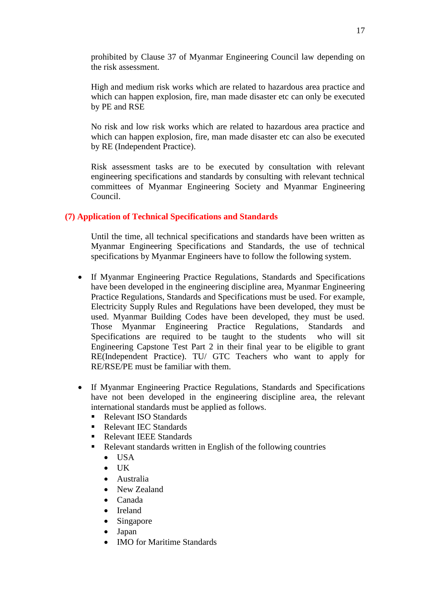prohibited by Clause 37 of Myanmar Engineering Council law depending on the risk assessment.

High and medium risk works which are related to hazardous area practice and which can happen explosion, fire, man made disaster etc can only be executed by PE and RSE

No risk and low risk works which are related to hazardous area practice and which can happen explosion, fire, man made disaster etc can also be executed by RE (Independent Practice).

Risk assessment tasks are to be executed by consultation with relevant engineering specifications and standards by consulting with relevant technical committees of Myanmar Engineering Society and Myanmar Engineering Council.

# **(7) Application of Technical Specifications and Standards**

Until the time, all technical specifications and standards have been written as Myanmar Engineering Specifications and Standards, the use of technical specifications by Myanmar Engineers have to follow the following system.

- If Myanmar Engineering Practice Regulations, Standards and Specifications have been developed in the engineering discipline area, Myanmar Engineering Practice Regulations, Standards and Specifications must be used. For example, Electricity Supply Rules and Regulations have been developed, they must be used. Myanmar Building Codes have been developed, they must be used. Those Myanmar Engineering Practice Regulations, Standards and Specifications are required to be taught to the students who will sit Engineering Capstone Test Part 2 in their final year to be eligible to grant RE(Independent Practice). TU/ GTC Teachers who want to apply for RE/RSE/PE must be familiar with them.
- If Myanmar Engineering Practice Regulations, Standards and Specifications have not been developed in the engineering discipline area, the relevant international standards must be applied as follows.
	- Relevant ISO Standards
	- Relevant IEC Standards
	- Relevant IEEE Standards
	- Relevant standards written in English of the following countries
		- $\bullet$  USA
		- $\bullet$  UK
		- Australia
		- New Zealand
		- Canada
		- Ireland
		- Singapore
		- Japan
		- IMO for Maritime Standards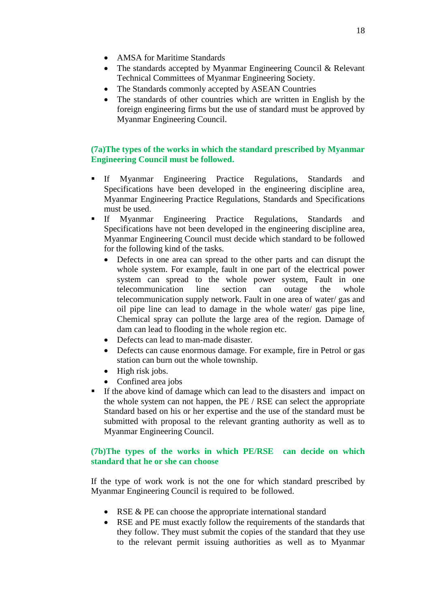- AMSA for Maritime Standards
- The standards accepted by Myanmar Engineering Council & Relevant Technical Committees of Myanmar Engineering Society.
- The Standards commonly accepted by ASEAN Countries
- The standards of other countries which are written in English by the foreign engineering firms but the use of standard must be approved by Myanmar Engineering Council.

# **(7a)The types of the works in which the standard prescribed by Myanmar Engineering Council must be followed.**

- If Myanmar Engineering Practice Regulations, Standards and Specifications have been developed in the engineering discipline area, Myanmar Engineering Practice Regulations, Standards and Specifications must be used.
- If Myanmar Engineering Practice Regulations, Standards and Specifications have not been developed in the engineering discipline area, Myanmar Engineering Council must decide which standard to be followed for the following kind of the tasks.
	- Defects in one area can spread to the other parts and can disrupt the whole system. For example, fault in one part of the electrical power system can spread to the whole power system, Fault in one telecommunication line section can outage the whole telecommunication supply network. Fault in one area of water/ gas and oil pipe line can lead to damage in the whole water/ gas pipe line, Chemical spray can pollute the large area of the region. Damage of dam can lead to flooding in the whole region etc.
	- Defects can lead to man-made disaster.
	- Defects can cause enormous damage. For example, fire in Petrol or gas station can burn out the whole township.
	- High risk jobs.
	- Confined area jobs
- If the above kind of damage which can lead to the disasters and impact on the whole system can not happen, the PE / RSE can select the appropriate Standard based on his or her expertise and the use of the standard must be submitted with proposal to the relevant granting authority as well as to Myanmar Engineering Council.

### **(7b)The types of the works in which PE/RSE can decide on which standard that he or she can choose**

If the type of work work is not the one for which standard prescribed by Myanmar Engineering Council is required to be followed.

- RSE & PE can choose the appropriate international standard
- RSE and PE must exactly follow the requirements of the standards that they follow. They must submit the copies of the standard that they use to the relevant permit issuing authorities as well as to Myanmar